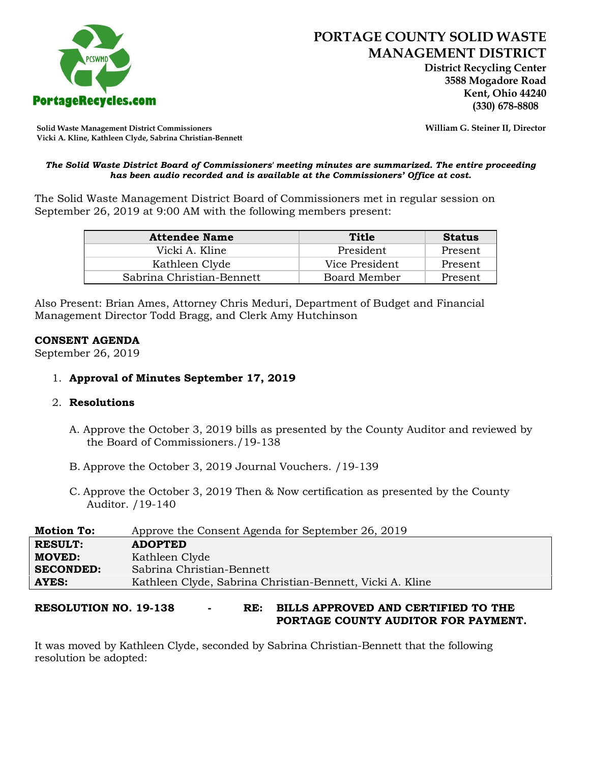

 **District Recycling Center 3588 Mogadore Road Kent, Ohio 44240**

**Solid Waste Management District Commissioners William G. Steiner II, Director Vicki A. Kline, Kathleen Clyde, Sabrina Christian-Bennett** 

#### *The Solid Waste District Board of Commissioners' meeting minutes are summarized. The entire proceeding has been audio recorded and is available at the Commissioners' Office at cost.*

The Solid Waste Management District Board of Commissioners met in regular session on September 26, 2019 at 9:00 AM with the following members present:

| <b>Attendee Name</b>      | Title          | <b>Status</b> |
|---------------------------|----------------|---------------|
| Vicki A. Kline            | President      | Present       |
| Kathleen Clyde            | Vice President | Present       |
| Sabrina Christian-Bennett | Board Member   | Present       |

Also Present: Brian Ames, Attorney Chris Meduri, Department of Budget and Financial Management Director Todd Bragg, and Clerk Amy Hutchinson

#### **CONSENT AGENDA**

September 26, 2019

# 1. **Approval of Minutes September 17, 2019**

#### 2. **Resolutions**

- A. Approve the October 3, 2019 bills as presented by the County Auditor and reviewed by the Board of Commissioners./19-138
- B. Approve the October 3, 2019 Journal Vouchers. /19-139
- C. Approve the October 3, 2019 Then & Now certification as presented by the County Auditor. /19-140

| <b>Motion To:</b> | Approve the Consent Agenda for September 26, 2019         |
|-------------------|-----------------------------------------------------------|
| <b>RESULT:</b>    | <b>ADOPTED</b>                                            |
| <b>MOVED:</b>     | Kathleen Clyde                                            |
| <b>SECONDED:</b>  | Sabrina Christian-Bennett                                 |
| AYES:             | Kathleen Clyde, Sabrina Christian-Bennett, Vicki A. Kline |
|                   |                                                           |

**RESOLUTION NO. 19-138 - RE: BILLS APPROVED AND CERTIFIED TO THE PORTAGE COUNTY AUDITOR FOR PAYMENT.** 

It was moved by Kathleen Clyde, seconded by Sabrina Christian-Bennett that the following resolution be adopted: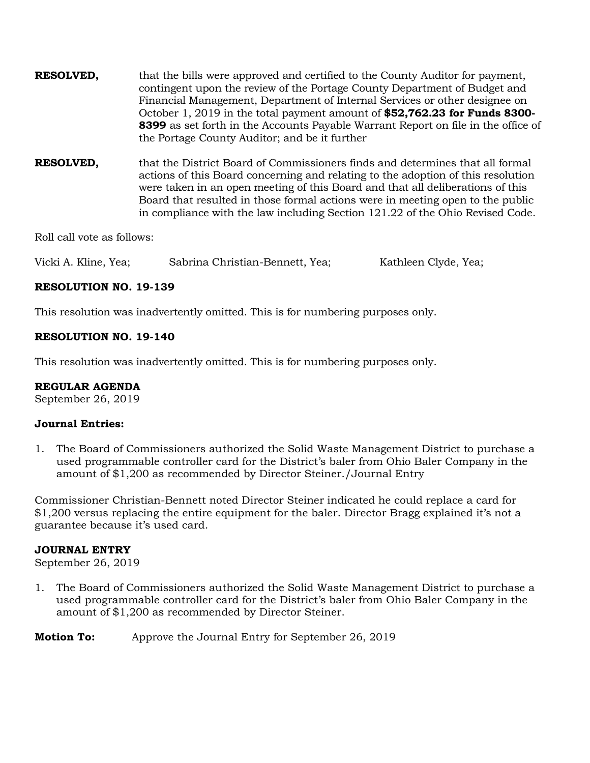| <b>RESOLVED,</b> | that the bills were approved and certified to the County Auditor for payment,<br>contingent upon the review of the Portage County Department of Budget and<br>Financial Management, Department of Internal Services or other designee on<br>October 1, 2019 in the total payment amount of \$52,762.23 for Funds 8300-<br>8399 as set forth in the Accounts Payable Warrant Report on file in the office of<br>the Portage County Auditor; and be it further |
|------------------|--------------------------------------------------------------------------------------------------------------------------------------------------------------------------------------------------------------------------------------------------------------------------------------------------------------------------------------------------------------------------------------------------------------------------------------------------------------|
|                  |                                                                                                                                                                                                                                                                                                                                                                                                                                                              |

**RESOLVED,** that the District Board of Commissioners finds and determines that all formal actions of this Board concerning and relating to the adoption of this resolution were taken in an open meeting of this Board and that all deliberations of this Board that resulted in those formal actions were in meeting open to the public in compliance with the law including Section 121.22 of the Ohio Revised Code.

Roll call vote as follows:

Vicki A. Kline, Yea; Sabrina Christian-Bennett, Yea; Kathleen Clyde, Yea;

# **RESOLUTION NO. 19-139**

This resolution was inadvertently omitted. This is for numbering purposes only.

# **RESOLUTION NO. 19-140**

This resolution was inadvertently omitted. This is for numbering purposes only.

# **REGULAR AGENDA**

September 26, 2019

# **Journal Entries:**

1. The Board of Commissioners authorized the Solid Waste Management District to purchase a used programmable controller card for the District's baler from Ohio Baler Company in the amount of \$1,200 as recommended by Director Steiner./Journal Entry

Commissioner Christian-Bennett noted Director Steiner indicated he could replace a card for \$1,200 versus replacing the entire equipment for the baler. Director Bragg explained it's not a guarantee because it's used card.

#### **JOURNAL ENTRY**

September 26, 2019

1. The Board of Commissioners authorized the Solid Waste Management District to purchase a used programmable controller card for the District's baler from Ohio Baler Company in the amount of \$1,200 as recommended by Director Steiner.

**Motion To:** Approve the Journal Entry for September 26, 2019